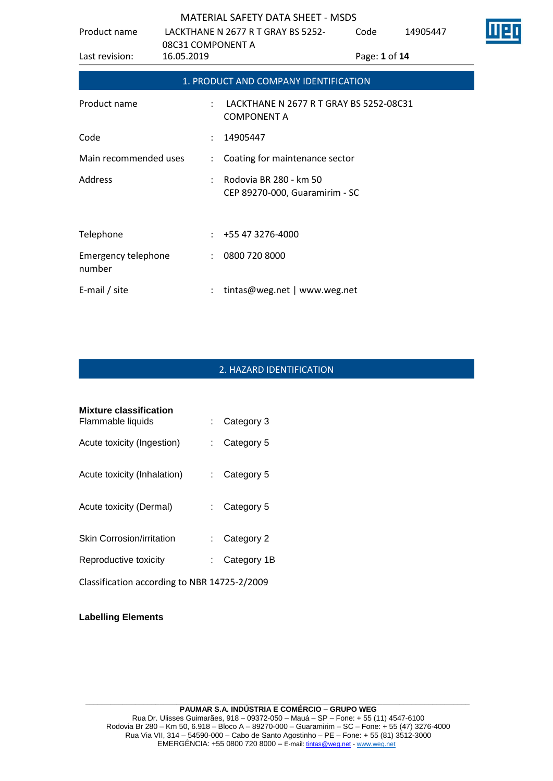| Product name                         | LACKTHANE N 2677 R T GRAY BS 5252- |                                                               |  | Code | 14905447      |  |
|--------------------------------------|------------------------------------|---------------------------------------------------------------|--|------|---------------|--|
| Last revision:                       | 08C31 COMPONENT A<br>16.05.2019    |                                                               |  |      | Page: 1 of 14 |  |
|                                      |                                    | 1. PRODUCT AND COMPANY IDENTIFICATION                         |  |      |               |  |
| Product name                         | $\ddot{\phantom{a}}$               | LACKTHANE N 2677 R T GRAY BS 5252-08C31<br><b>COMPONENT A</b> |  |      |               |  |
| Code                                 |                                    | 14905447                                                      |  |      |               |  |
| Main recommended uses                |                                    | Coating for maintenance sector<br>$\mathbb{Z}^{\mathbb{Z}}$   |  |      |               |  |
| Address                              |                                    | $:$ Rodovia BR 280 - km 50<br>CEP 89270-000, Guaramirim - SC  |  |      |               |  |
| Telephone                            |                                    | $: +55473276-4000$                                            |  |      |               |  |
| <b>Emergency telephone</b><br>number |                                    | : 08007208000                                                 |  |      |               |  |
| E-mail / site                        |                                    | tintas@weg.net   www.weg.net                                  |  |      |               |  |

# 2. HAZARD IDENTIFICATION

| Mixture classification<br>Flammable liquids  |                           | Category 3  |
|----------------------------------------------|---------------------------|-------------|
|                                              |                           |             |
| Acute toxicity (Ingestion)                   |                           | Category 5  |
|                                              |                           |             |
| Acute toxicity (Inhalation)                  |                           | Category 5  |
|                                              |                           |             |
| Acute toxicity (Dermal)                      | $\mathbb{R}^{\mathbb{Z}}$ | Category 5  |
|                                              |                           |             |
| Skin Corrosion/irritation                    |                           | Category 2  |
| Reproductive toxicity                        |                           | Category 1B |
|                                              |                           |             |
| Classification according to NBR 14725-2/2009 |                           |             |

**Labelling Elements**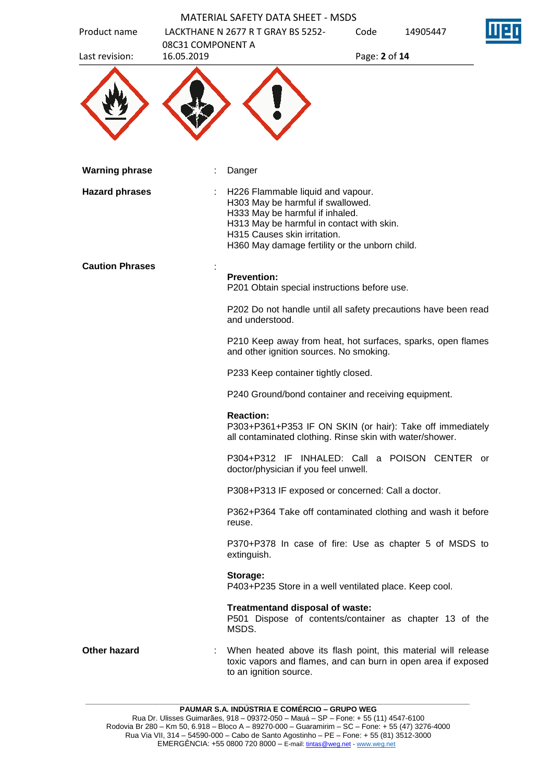| Product name           | <b>MATERIAL SAFETY DATA SHEET - MSDS</b><br>LACKTHANE N 2677 R T GRAY BS 5252-                                                                                                                                                           | Code          | 14905447 |  |
|------------------------|------------------------------------------------------------------------------------------------------------------------------------------------------------------------------------------------------------------------------------------|---------------|----------|--|
| Last revision:         | 08C31 COMPONENT A<br>16.05.2019                                                                                                                                                                                                          | Page: 2 of 14 |          |  |
|                        |                                                                                                                                                                                                                                          |               |          |  |
| <b>Warning phrase</b>  | Danger                                                                                                                                                                                                                                   |               |          |  |
| <b>Hazard phrases</b>  | H226 Flammable liquid and vapour.<br>H303 May be harmful if swallowed.<br>H333 May be harmful if inhaled.<br>H313 May be harmful in contact with skin.<br>H315 Causes skin irritation.<br>H360 May damage fertility or the unborn child. |               |          |  |
| <b>Caution Phrases</b> | <b>Prevention:</b>                                                                                                                                                                                                                       |               |          |  |
|                        | P201 Obtain special instructions before use.                                                                                                                                                                                             |               |          |  |
|                        | P202 Do not handle until all safety precautions have been read<br>and understood.                                                                                                                                                        |               |          |  |
|                        | P210 Keep away from heat, hot surfaces, sparks, open flames<br>and other ignition sources. No smoking.                                                                                                                                   |               |          |  |
|                        | P233 Keep container tightly closed.                                                                                                                                                                                                      |               |          |  |
|                        | P240 Ground/bond container and receiving equipment.                                                                                                                                                                                      |               |          |  |
|                        | <b>Reaction:</b><br>P303+P361+P353 IF ON SKIN (or hair): Take off immediately<br>all contaminated clothing. Rinse skin with water/shower.                                                                                                |               |          |  |
|                        | P304+P312 IF INHALED: Call a POISON CENTER or<br>doctor/physician if you feel unwell.                                                                                                                                                    |               |          |  |
|                        | P308+P313 IF exposed or concerned: Call a doctor.                                                                                                                                                                                        |               |          |  |
|                        | P362+P364 Take off contaminated clothing and wash it before<br>reuse.                                                                                                                                                                    |               |          |  |
|                        | P370+P378 In case of fire: Use as chapter 5 of MSDS to<br>extinguish.                                                                                                                                                                    |               |          |  |
|                        | Storage:<br>P403+P235 Store in a well ventilated place. Keep cool.                                                                                                                                                                       |               |          |  |
|                        | Treatmentand disposal of waste:<br>P501 Dispose of contents/container as chapter 13 of the<br>MSDS.                                                                                                                                      |               |          |  |
| <b>Other hazard</b>    | When heated above its flash point, this material will release<br>toxic vapors and flames, and can burn in open area if exposed<br>to an ignition source.                                                                                 |               |          |  |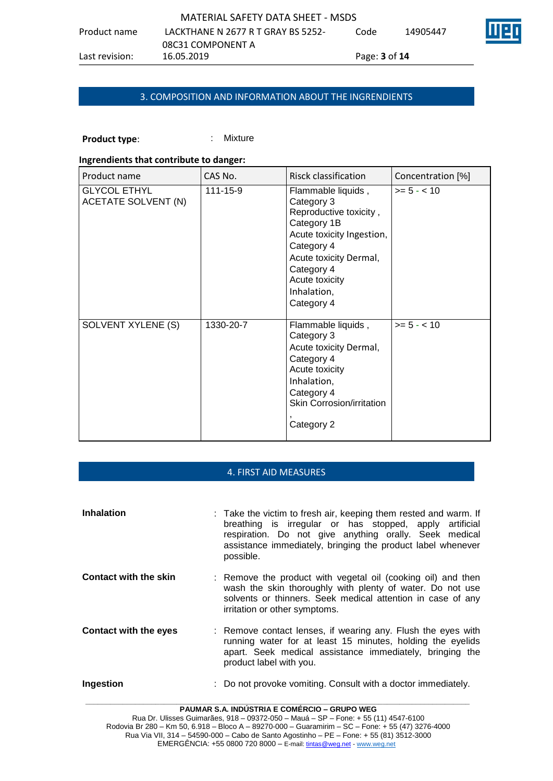|                | MATERIAL SAFETY DATA SHEET - MSDS  |                   |          |  |
|----------------|------------------------------------|-------------------|----------|--|
| Product name   | LACKTHANE N 2677 R T GRAY BS 5252- | Code              | 14905447 |  |
|                | 08C31 COMPONENT A                  |                   |          |  |
| Last revision: | 16.05.2019                         | Page: $3$ of $14$ |          |  |

## 3. COMPOSITION AND INFORMATION ABOUT THE INGRENDIENTS

## **Product type:** : : : : : Mixture

### **Ingrendients that contribute to danger:**

| Product name                               | CAS No.   | Risck classification                                                                                                                                                                                        | Concentration [%] |
|--------------------------------------------|-----------|-------------------------------------------------------------------------------------------------------------------------------------------------------------------------------------------------------------|-------------------|
| <b>GLYCOL ETHYL</b><br>ACETATE SOLVENT (N) | 111-15-9  | Flammable liquids,<br>Category 3<br>Reproductive toxicity,<br>Category 1B<br>Acute toxicity Ingestion,<br>Category 4<br>Acute toxicity Dermal,<br>Category 4<br>Acute toxicity<br>Inhalation,<br>Category 4 | $>= 5 - < 10$     |
| SOLVENT XYLENE (S)                         | 1330-20-7 | Flammable liquids,<br>Category 3<br>Acute toxicity Dermal,<br>Category 4<br>Acute toxicity<br>Inhalation,<br>Category 4<br>Skin Corrosion/irritation<br>Category 2                                          | $>= 5 - < 10$     |

## 4. FIRST AID MEASURES

| <b>Inhalation</b>            | : Take the victim to fresh air, keeping them rested and warm. If<br>breathing is irregular or has stopped, apply artificial<br>respiration. Do not give anything orally. Seek medical<br>assistance immediately, bringing the product label whenever<br>possible. |
|------------------------------|-------------------------------------------------------------------------------------------------------------------------------------------------------------------------------------------------------------------------------------------------------------------|
| <b>Contact with the skin</b> | : Remove the product with vegetal oil (cooking oil) and then<br>wash the skin thoroughly with plenty of water. Do not use<br>solvents or thinners. Seek medical attention in case of any<br>irritation or other symptoms.                                         |
| <b>Contact with the eyes</b> | : Remove contact lenses, if wearing any. Flush the eyes with<br>running water for at least 15 minutes, holding the eyelids<br>apart. Seek medical assistance immediately, bringing the<br>product label with you.                                                 |
| Ingestion                    | Do not provoke vomiting. Consult with a doctor immediately.                                                                                                                                                                                                       |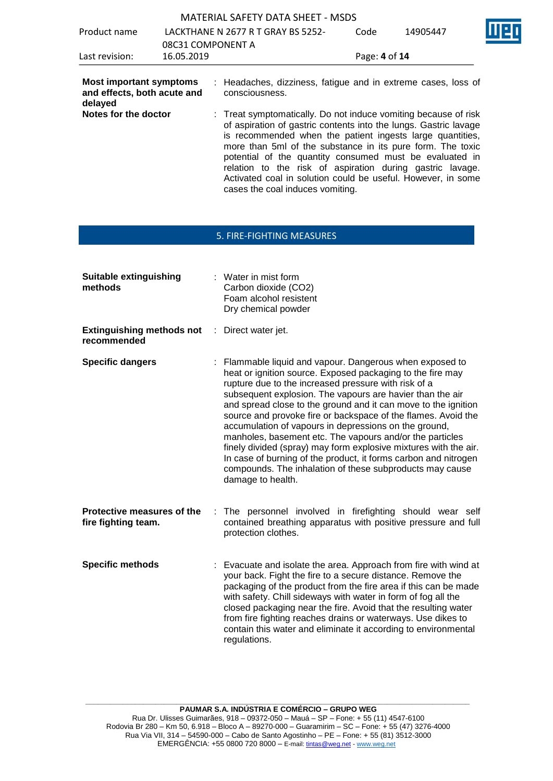|                                                                                                  |                   | <b>MATERIAL SAFETY DATA SHEET - MSDS</b>                                                                                                                                                                                                                                                                                                                                                                                                                                                                                                  |               |          |  |
|--------------------------------------------------------------------------------------------------|-------------------|-------------------------------------------------------------------------------------------------------------------------------------------------------------------------------------------------------------------------------------------------------------------------------------------------------------------------------------------------------------------------------------------------------------------------------------------------------------------------------------------------------------------------------------------|---------------|----------|--|
| Product name                                                                                     |                   | LACKTHANE N 2677 R T GRAY BS 5252-                                                                                                                                                                                                                                                                                                                                                                                                                                                                                                        | Code          | 14905447 |  |
|                                                                                                  | 08C31 COMPONENT A |                                                                                                                                                                                                                                                                                                                                                                                                                                                                                                                                           |               |          |  |
| Last revision:                                                                                   | 16.05.2019        |                                                                                                                                                                                                                                                                                                                                                                                                                                                                                                                                           | Page: 4 of 14 |          |  |
| <b>Most important symptoms</b><br>and effects, both acute and<br>delayed<br>Notes for the doctor |                   | : Headaches, dizziness, fatigue and in extreme cases, loss of<br>consciousness.<br>: Treat symptomatically. Do not induce vomiting because of risk<br>of aspiration of gastric contents into the lungs. Gastric lavage<br>is recommended when the patient ingests large quantities,<br>more than 5ml of the substance in its pure form. The toxic<br>potential of the quantity consumed must be evaluated in<br>relation to the risk of aspiration during gastric lavage.<br>Activated coal in solution could be useful. However, in some |               |          |  |

## 5. FIRE-FIGHTING MEASURES

cases the coal induces vomiting.

| <b>Suitable extinguishing</b><br>methods                      | : Water in mist form<br>Carbon dioxide (CO2)<br>Foam alcohol resistent<br>Dry chemical powder                                                                                                                                                                                                                                                                                                                                                                                                                                                                                                                                                                                                                               |
|---------------------------------------------------------------|-----------------------------------------------------------------------------------------------------------------------------------------------------------------------------------------------------------------------------------------------------------------------------------------------------------------------------------------------------------------------------------------------------------------------------------------------------------------------------------------------------------------------------------------------------------------------------------------------------------------------------------------------------------------------------------------------------------------------------|
| <b>Extinguishing methods not</b><br>÷<br>recommended          | Direct water jet.                                                                                                                                                                                                                                                                                                                                                                                                                                                                                                                                                                                                                                                                                                           |
| <b>Specific dangers</b>                                       | : Flammable liquid and vapour. Dangerous when exposed to<br>heat or ignition source. Exposed packaging to the fire may<br>rupture due to the increased pressure with risk of a<br>subsequent explosion. The vapours are havier than the air<br>and spread close to the ground and it can move to the ignition<br>source and provoke fire or backspace of the flames. Avoid the<br>accumulation of vapours in depressions on the ground,<br>manholes, basement etc. The vapours and/or the particles<br>finely divided (spray) may form explosive mixtures with the air.<br>In case of burning of the product, it forms carbon and nitrogen<br>compounds. The inhalation of these subproducts may cause<br>damage to health. |
| <b>Protective measures of the</b><br>÷<br>fire fighting team. | The personnel involved in firefighting should wear self<br>contained breathing apparatus with positive pressure and full<br>protection clothes.                                                                                                                                                                                                                                                                                                                                                                                                                                                                                                                                                                             |
| <b>Specific methods</b>                                       | Evacuate and isolate the area. Approach from fire with wind at<br>your back. Fight the fire to a secure distance. Remove the<br>packaging of the product from the fire area if this can be made<br>with safety. Chill sideways with water in form of fog all the<br>closed packaging near the fire. Avoid that the resulting water<br>from fire fighting reaches drains or waterways. Use dikes to<br>contain this water and eliminate it according to environmental<br>regulations.                                                                                                                                                                                                                                        |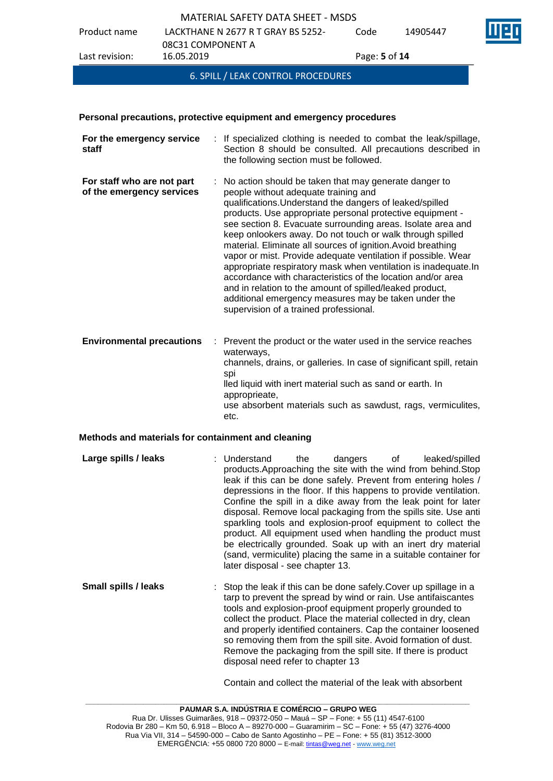Product name LACKTHANE N 2677 R T GRAY BS 5252- 08C31 COMPONENT A<br>16.05.2019 Last revision: 16.05.2019 Page: **5** of **14**

Code 14905447



6. SPILL / LEAK CONTROL PROCEDURES

#### **Personal precautions, protective equipment and emergency procedures**

| For the emergency service<br>t.<br>staff                | If specialized clothing is needed to combat the leak/spillage,<br>Section 8 should be consulted. All precautions described in<br>the following section must be followed.                                                                                                                                                                                                                                                                                                                                                                                                                                                                                                                                                                                                             |
|---------------------------------------------------------|--------------------------------------------------------------------------------------------------------------------------------------------------------------------------------------------------------------------------------------------------------------------------------------------------------------------------------------------------------------------------------------------------------------------------------------------------------------------------------------------------------------------------------------------------------------------------------------------------------------------------------------------------------------------------------------------------------------------------------------------------------------------------------------|
| For staff who are not part<br>of the emergency services | : No action should be taken that may generate danger to<br>people without adequate training and<br>qualifications. Understand the dangers of leaked/spilled<br>products. Use appropriate personal protective equipment -<br>see section 8. Evacuate surrounding areas. Isolate area and<br>keep onlookers away. Do not touch or walk through spilled<br>material. Eliminate all sources of ignition. Avoid breathing<br>vapor or mist. Provide adequate ventilation if possible. Wear<br>appropriate respiratory mask when ventilation is inadequate.In<br>accordance with characteristics of the location and/or area<br>and in relation to the amount of spilled/leaked product,<br>additional emergency measures may be taken under the<br>supervision of a trained professional. |
| <b>Environmental precautions</b>                        | Prevent the product or the water used in the service reaches<br>waterways,<br>channels, drains, or galleries. In case of significant spill, retain<br>spi<br>lled liquid with inert material such as sand or earth. In<br>approprieate,<br>use absorbent materials such as sawdust, rags, vermiculites,<br>etc.                                                                                                                                                                                                                                                                                                                                                                                                                                                                      |

#### **Methods and materials for containment and cleaning**

| Large spills / leaks | : Understand<br>products. Approaching the site with the wind from behind. Stop<br>leak if this can be done safely. Prevent from entering holes /                                                                                                                                                                                                                                                                                                                                                             | the | dangers of | leaked/spilled |
|----------------------|--------------------------------------------------------------------------------------------------------------------------------------------------------------------------------------------------------------------------------------------------------------------------------------------------------------------------------------------------------------------------------------------------------------------------------------------------------------------------------------------------------------|-----|------------|----------------|
|                      | depressions in the floor. If this happens to provide ventilation.<br>Confine the spill in a dike away from the leak point for later<br>disposal. Remove local packaging from the spills site. Use anti<br>sparkling tools and explosion-proof equipment to collect the<br>product. All equipment used when handling the product must<br>be electrically grounded. Soak up with an inert dry material<br>(sand, vermiculite) placing the same in a suitable container for<br>later disposal - see chapter 13. |     |            |                |
|                      |                                                                                                                                                                                                                                                                                                                                                                                                                                                                                                              |     |            |                |

**Small spills / leaks** : Stop the leak if this can be done safely. Cover up spillage in a tarp to prevent the spread by wind or rain. Use antifaiscantes tools and explosion-proof equipment properly grounded to collect the product. Place the material collected in dry, clean and properly identified containers. Cap the container loosened so removing them from the spill site. Avoid formation of dust. Remove the packaging from the spill site. If there is product disposal need refer to chapter 13

Contain and collect the material of the leak with absorbent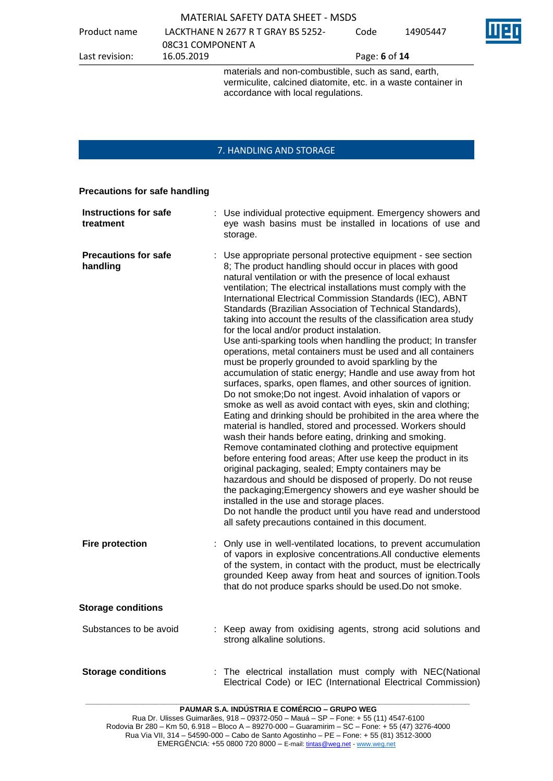Product name LACKTHANE N 2677 R T GRAY BS 5252- 08C31 COMPONENT A<br>16.05.2019

Code 14905447



Last revision: 16.05.2019 Page: **6** of **14**

materials and non-combustible, such as sand, earth, vermiculite, calcined diatomite, etc. in a waste container in accordance with local regulations.

## 7. HANDLING AND STORAGE

#### **Precautions for safe handling**

| <b>Instructions for safe</b><br>treatment | : Use individual protective equipment. Emergency showers and<br>eye wash basins must be installed in locations of use and<br>storage.                                                                                                                                                                                                                                                                                                                                                                                                                                                                                                                                                                                                                                                                                                                                                                                                                                                                                                                                                                                                                                                                                                                                                                                                                                                                                                                                                                                                                                                                                          |
|-------------------------------------------|--------------------------------------------------------------------------------------------------------------------------------------------------------------------------------------------------------------------------------------------------------------------------------------------------------------------------------------------------------------------------------------------------------------------------------------------------------------------------------------------------------------------------------------------------------------------------------------------------------------------------------------------------------------------------------------------------------------------------------------------------------------------------------------------------------------------------------------------------------------------------------------------------------------------------------------------------------------------------------------------------------------------------------------------------------------------------------------------------------------------------------------------------------------------------------------------------------------------------------------------------------------------------------------------------------------------------------------------------------------------------------------------------------------------------------------------------------------------------------------------------------------------------------------------------------------------------------------------------------------------------------|
| <b>Precautions for safe</b><br>handling   | Use appropriate personal protective equipment - see section<br>8; The product handling should occur in places with good<br>natural ventilation or with the presence of local exhaust<br>ventilation; The electrical installations must comply with the<br>International Electrical Commission Standards (IEC), ABNT<br>Standards (Brazilian Association of Technical Standards),<br>taking into account the results of the classification area study<br>for the local and/or product instalation.<br>Use anti-sparking tools when handling the product; In transfer<br>operations, metal containers must be used and all containers<br>must be properly grounded to avoid sparkling by the<br>accumulation of static energy; Handle and use away from hot<br>surfaces, sparks, open flames, and other sources of ignition.<br>Do not smoke; Do not ingest. Avoid inhalation of vapors or<br>smoke as well as avoid contact with eyes, skin and clothing;<br>Eating and drinking should be prohibited in the area where the<br>material is handled, stored and processed. Workers should<br>wash their hands before eating, drinking and smoking.<br>Remove contaminated clothing and protective equipment<br>before entering food areas; After use keep the product in its<br>original packaging, sealed; Empty containers may be<br>hazardous and should be disposed of properly. Do not reuse<br>the packaging; Emergency showers and eye washer should be<br>installed in the use and storage places.<br>Do not handle the product until you have read and understood<br>all safety precautions contained in this document. |
| <b>Fire protection</b>                    | Only use in well-ventilated locations, to prevent accumulation<br>of vapors in explosive concentrations. All conductive elements<br>of the system, in contact with the product, must be electrically<br>grounded Keep away from heat and sources of ignition. Tools<br>that do not produce sparks should be used. Do not smoke.                                                                                                                                                                                                                                                                                                                                                                                                                                                                                                                                                                                                                                                                                                                                                                                                                                                                                                                                                                                                                                                                                                                                                                                                                                                                                                |
| <b>Storage conditions</b>                 |                                                                                                                                                                                                                                                                                                                                                                                                                                                                                                                                                                                                                                                                                                                                                                                                                                                                                                                                                                                                                                                                                                                                                                                                                                                                                                                                                                                                                                                                                                                                                                                                                                |
| Substances to be avoid                    | : Keep away from oxidising agents, strong acid solutions and<br>strong alkaline solutions.                                                                                                                                                                                                                                                                                                                                                                                                                                                                                                                                                                                                                                                                                                                                                                                                                                                                                                                                                                                                                                                                                                                                                                                                                                                                                                                                                                                                                                                                                                                                     |
| <b>Storage conditions</b>                 | The electrical installation must comply with NEC(National<br>Electrical Code) or IEC (International Electrical Commission)                                                                                                                                                                                                                                                                                                                                                                                                                                                                                                                                                                                                                                                                                                                                                                                                                                                                                                                                                                                                                                                                                                                                                                                                                                                                                                                                                                                                                                                                                                     |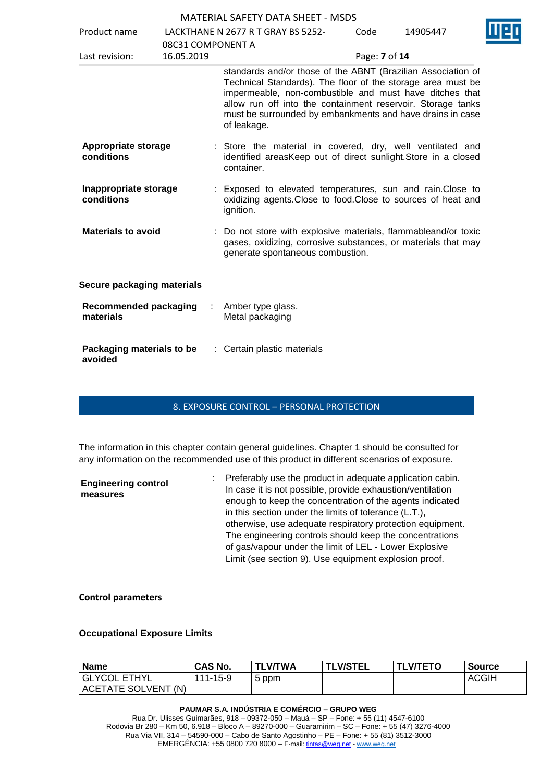| Product name                              |                   | LACKTHANE N 2677 R T GRAY BS 5252-                                                                                                                                                                                                                                                                                                | Code          | 14905447 |  |
|-------------------------------------------|-------------------|-----------------------------------------------------------------------------------------------------------------------------------------------------------------------------------------------------------------------------------------------------------------------------------------------------------------------------------|---------------|----------|--|
|                                           | 08C31 COMPONENT A |                                                                                                                                                                                                                                                                                                                                   |               |          |  |
| Last revision:                            | 16.05.2019        |                                                                                                                                                                                                                                                                                                                                   | Page: 7 of 14 |          |  |
|                                           |                   | standards and/or those of the ABNT (Brazilian Association of<br>Technical Standards). The floor of the storage area must be<br>impermeable, non-combustible and must have ditches that<br>allow run off into the containment reservoir. Storage tanks<br>must be surrounded by embankments and have drains in case<br>of leakage. |               |          |  |
| Appropriate storage<br>conditions         |                   | : Store the material in covered, dry, well ventilated and<br>identified areasKeep out of direct sunlight. Store in a closed<br>container.                                                                                                                                                                                         |               |          |  |
| Inappropriate storage<br>conditions       |                   | : Exposed to elevated temperatures, sun and rain. Close to<br>oxidizing agents. Close to food. Close to sources of heat and<br>ignition.                                                                                                                                                                                          |               |          |  |
| <b>Materials to avoid</b>                 |                   | : Do not store with explosive materials, flammableand/or toxic<br>gases, oxidizing, corrosive substances, or materials that may<br>generate spontaneous combustion.                                                                                                                                                               |               |          |  |
| Secure packaging materials                |                   |                                                                                                                                                                                                                                                                                                                                   |               |          |  |
| <b>Recommended packaging</b><br>materials |                   | Amber type glass.<br>Metal packaging                                                                                                                                                                                                                                                                                              |               |          |  |
| Packaging materials to be<br>avoided      |                   | : Certain plastic materials                                                                                                                                                                                                                                                                                                       |               |          |  |

#### 8. EXPOSURE CONTROL – PERSONAL PROTECTION

The information in this chapter contain general guidelines. Chapter 1 should be consulted for any information on the recommended use of this product in different scenarios of exposure.

|  | <b>Engineering control</b><br>measures | Preferably use the product in adequate application cabin.<br>In case it is not possible, provide exhaustion/ventilation<br>enough to keep the concentration of the agents indicated<br>in this section under the limits of tolerance (L.T.),<br>otherwise, use adequate respiratory protection equipment.<br>The engineering controls should keep the concentrations<br>of gas/vapour under the limit of LEL - Lower Explosive<br>Limit (see section 9). Use equipment explosion proof. |
|--|----------------------------------------|-----------------------------------------------------------------------------------------------------------------------------------------------------------------------------------------------------------------------------------------------------------------------------------------------------------------------------------------------------------------------------------------------------------------------------------------------------------------------------------------|
|--|----------------------------------------|-----------------------------------------------------------------------------------------------------------------------------------------------------------------------------------------------------------------------------------------------------------------------------------------------------------------------------------------------------------------------------------------------------------------------------------------------------------------------------------------|

**Control parameters**

#### **Occupational Exposure Limits**

| <b>Name</b>         | <b>CAS No.</b> | <b>TLV/TWA</b> | <b>TLV/STEL</b> | <b>TLV/TETO</b> | <b>Source</b> |
|---------------------|----------------|----------------|-----------------|-----------------|---------------|
| l GLYCOL ETHYL      | 111-15-9       | 5 ppm          |                 |                 | <b>ACGIH</b>  |
| ACETATE SOLVENT (N) |                |                |                 |                 |               |

**PAUMAR S.A. INDÚSTRIA E COMÉRCIO – GRUPO WEG** Rua Dr. Ulisses Guimarães, 918 – 09372-050 – Mauá – SP – Fone: + 55 (11) 4547-6100 Rodovia Br 280 – Km 50, 6.918 – Bloco A – 89270-000 – Guaramirim – SC – Fone: + 55 (47) 3276-4000 Rua Via VII, 314 – 54590-000 – Cabo de Santo Agostinho – PE – Fone: + 55 (81) 3512-3000 EMERGËNCIA: +55 0800 720 8000 – E-mail[: tintas@weg.net](mailto:tintas@weg.net) - [www.weg.net](http://www.weg.net/)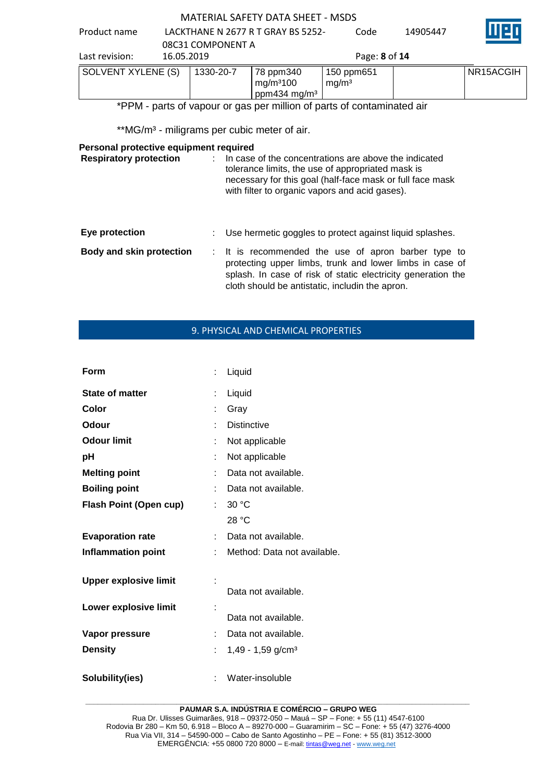Product name LACKTHANE N 2677 R T GRAY BS 5252- Code 14905447



| 16.05.2019<br>Last revision: | 08C31 COMPONENT A |                                                               | Page: 8 of 14                   |           |
|------------------------------|-------------------|---------------------------------------------------------------|---------------------------------|-----------|
| SOLVENT XYLENE (S)           | 1330-20-7         | 78 ppm340<br>mg/m <sup>3100</sup><br>ppm434 mg/m <sup>3</sup> | 150 ppm651<br>ma/m <sup>3</sup> | NR15ACGIH |

\*PPM - parts of vapour or gas per million of parts of contaminated air

\*\*MG/m<sup>3</sup> - miligrams per cubic meter of air.

## **Personal protective equipment required**

| <b>Respiratory protection</b> |  | In case of the concentrations are above the indicated<br>tolerance limits, the use of appropriated mask is<br>necessary for this goal (half-face mask or full face mask<br>with filter to organic vapors and acid gases). |
|-------------------------------|--|---------------------------------------------------------------------------------------------------------------------------------------------------------------------------------------------------------------------------|
| Eye protection                |  | Use hermetic goggles to protect against liquid splashes.                                                                                                                                                                  |
| Body and skin protection      |  | : It is recommended the use of apron barber type to<br>protecting upper limbs, trunk and lower limbs in case of<br>splash. In case of risk of static electricity generation the                                           |

# 9. PHYSICAL AND CHEMICAL PROPERTIES

cloth should be antistatic, includin the apron.

| Form                          |    | Liquid                        |
|-------------------------------|----|-------------------------------|
| <b>State of matter</b>        | t  | Liquid                        |
| Color                         |    | Gray                          |
| Odour                         |    | <b>Distinctive</b>            |
| <b>Odour limit</b>            |    | Not applicable                |
| рH                            |    | Not applicable                |
| <b>Melting point</b>          |    | Data not available.           |
| <b>Boiling point</b>          | t  | Data not available.           |
| <b>Flash Point (Open cup)</b> | ÷  | 30 °C                         |
|                               |    | 28 °C                         |
| <b>Evaporation rate</b>       | t. | Data not available.           |
| <b>Inflammation point</b>     | t. | Method: Data not available.   |
| <b>Upper explosive limit</b>  |    | Data not available.           |
| Lower explosive limit         | Ì  | Data not available.           |
| Vapor pressure                | t  | Data not available.           |
| <b>Density</b>                | t  | 1,49 - 1,59 g/cm <sup>3</sup> |
| Solubility(ies)               |    | Water-insoluble               |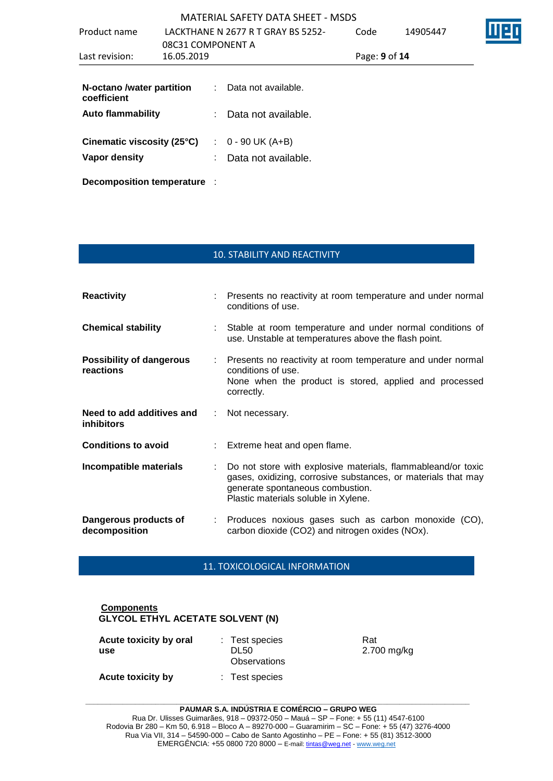|                                          |                                 |  | <b>MATERIAL SAFETY DATA SHEET - MSDS</b> |               |  |  |
|------------------------------------------|---------------------------------|--|------------------------------------------|---------------|--|--|
| Product name                             |                                 |  | LACKTHANF N 2677 R T GRAY BS 5252-       | Code          |  |  |
| Last revision:                           | 08C31 COMPONENT A<br>16.05.2019 |  |                                          | Page: 9 of 14 |  |  |
| N-octano /water partition<br>coefficient |                                 |  | Data not available.                      |               |  |  |
| <b>Auto flammability</b>                 |                                 |  | Data not available.                      |               |  |  |
| Cinematic viscosity (25°C)               |                                 |  | $\therefore$ 0 - 90 UK (A+B)             |               |  |  |
| Vapor density                            |                                 |  | Data not available.                      |               |  |  |
| Decomposition temperature                |                                 |  |                                          |               |  |  |

## 10. STABILITY AND REACTIVITY

| <b>Reactivity</b>                              | Presents no reactivity at room temperature and under normal<br>conditions of use.                                                                                                                         |  |  |
|------------------------------------------------|-----------------------------------------------------------------------------------------------------------------------------------------------------------------------------------------------------------|--|--|
| <b>Chemical stability</b>                      | Stable at room temperature and under normal conditions of<br>use. Unstable at temperatures above the flash point.                                                                                         |  |  |
| <b>Possibility of dangerous</b><br>reactions   | Presents no reactivity at room temperature and under normal<br>conditions of use.<br>None when the product is stored, applied and processed<br>correctly.                                                 |  |  |
| Need to add additives and<br><b>inhibitors</b> | Not necessary.                                                                                                                                                                                            |  |  |
| <b>Conditions to avoid</b>                     | Extreme heat and open flame.                                                                                                                                                                              |  |  |
| Incompatible materials                         | Do not store with explosive materials, flammableand/or toxic<br>gases, oxidizing, corrosive substances, or materials that may<br>generate spontaneous combustion.<br>Plastic materials soluble in Xylene. |  |  |
| Dangerous products of<br>decomposition         | : Produces noxious gases such as carbon monoxide (CO),<br>carbon dioxide (CO2) and nitrogen oxides (NOx).                                                                                                 |  |  |

## 11. TOXICOLOGICAL INFORMATION

## **Components GLYCOL ETHYL ACETATE SOLVENT (N)**

| Acute toxicity by oral<br>use | : Test species<br>DL50<br>Observations |
|-------------------------------|----------------------------------------|
| <b>Acute toxicity by</b>      | : Test species                         |

Rat 2.700 mg/kg

**PAUMAR S.A. INDÚSTRIA E COMÉRCIO – GRUPO WEG** Rua Dr. Ulisses Guimarães, 918 – 09372-050 – Mauá – SP – Fone: + 55 (11) 4547-6100 Rodovia Br 280 – Km 50, 6.918 – Bloco A – 89270-000 – Guaramirim – SC – Fone: + 55 (47) 3276-4000 Rua Via VII, 314 – 54590-000 – Cabo de Santo Agostinho – PE – Fone: + 55 (81) 3512-3000 EMERGËNCIA: +55 0800 720 8000 – E-mail[: tintas@weg.net](mailto:tintas@weg.net) - [www.weg.net](http://www.weg.net/)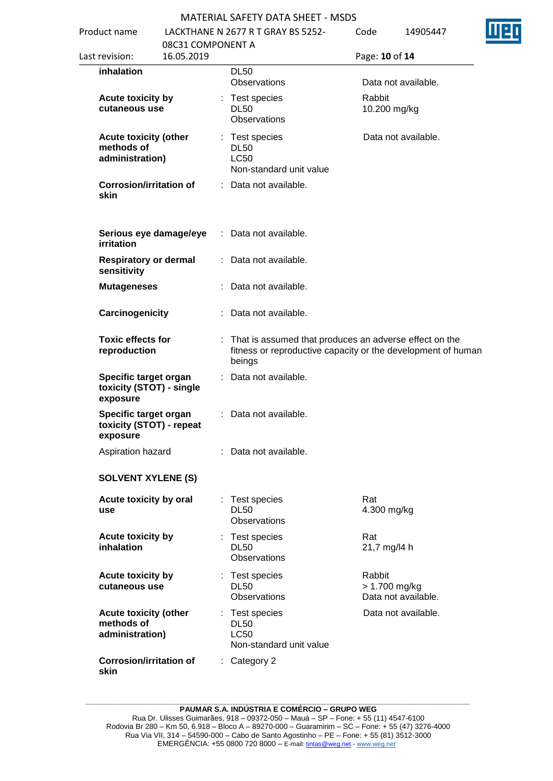| LACKTHANE N 2677 R T GRAY BS 5252-<br>Product name<br>08C31 COMPONENT A |  |                                               | Code                                                                                                                               |                | 14905447     |                     |
|-------------------------------------------------------------------------|--|-----------------------------------------------|------------------------------------------------------------------------------------------------------------------------------------|----------------|--------------|---------------------|
| 16.05.2019<br>Last revision:                                            |  |                                               |                                                                                                                                    | Page: 10 of 14 |              |                     |
| inhalation                                                              |  |                                               | <b>DL50</b><br>Observations                                                                                                        |                |              | Data not available. |
| Acute toxicity by<br>cutaneous use                                      |  | : Test species<br><b>DL50</b><br>Observations | Rabbit<br>10.200 mg/kg                                                                                                             |                |              |                     |
| <b>Acute toxicity (other</b><br>methods of<br>administration)           |  |                                               | : Test species<br><b>DL50</b><br><b>LC50</b><br>Non-standard unit value                                                            |                |              | Data not available. |
| <b>Corrosion/irritation of</b><br>skin                                  |  |                                               | Data not available.                                                                                                                |                |              |                     |
| Serious eye damage/eye<br>irritation                                    |  |                                               | : Data not available.                                                                                                              |                |              |                     |
| <b>Respiratory or dermal</b><br>sensitivity                             |  |                                               | Data not available.                                                                                                                |                |              |                     |
| <b>Mutageneses</b>                                                      |  |                                               | : Data not available.                                                                                                              |                |              |                     |
| Carcinogenicity                                                         |  |                                               | Data not available.                                                                                                                |                |              |                     |
| <b>Toxic effects for</b><br>reproduction                                |  |                                               | : That is assumed that produces an adverse effect on the<br>fitness or reproductive capacity or the development of human<br>beings |                |              |                     |
| Specific target organ<br>toxicity (STOT) - single<br>exposure           |  | ÷.                                            | Data not available.                                                                                                                |                |              |                     |
| Specific target organ<br>toxicity (STOT) - repeat<br>exposure           |  |                                               | Data not available.<br>÷.                                                                                                          |                |              |                     |
| Aspiration hazard                                                       |  |                                               | Data not available.                                                                                                                |                |              |                     |
| <b>SOLVENT XYLENE (S)</b>                                               |  |                                               |                                                                                                                                    |                |              |                     |
| Acute toxicity by oral<br>use                                           |  |                                               | Test species<br><b>DL50</b><br>Observations                                                                                        | Rat            | 4.300 mg/kg  |                     |
| Acute toxicity by<br>inhalation                                         |  |                                               | : Test species<br><b>DL50</b><br>Observations                                                                                      | Rat            | 21,7 mg/l4 h |                     |
| Acute toxicity by<br>cutaneous use                                      |  |                                               | Rabbit<br>: Test species<br><b>DL50</b><br>> 1.700 mg/kg<br>Observations<br>Data not available.                                    |                |              |                     |
| <b>Acute toxicity (other</b><br>methods of<br>administration)           |  |                                               | Data not available.<br>: Test species<br><b>DL50</b><br><b>LC50</b><br>Non-standard unit value                                     |                |              |                     |
| <b>Corrosion/irritation of</b><br>skin                                  |  | ÷.                                            | Category 2                                                                                                                         |                |              |                     |

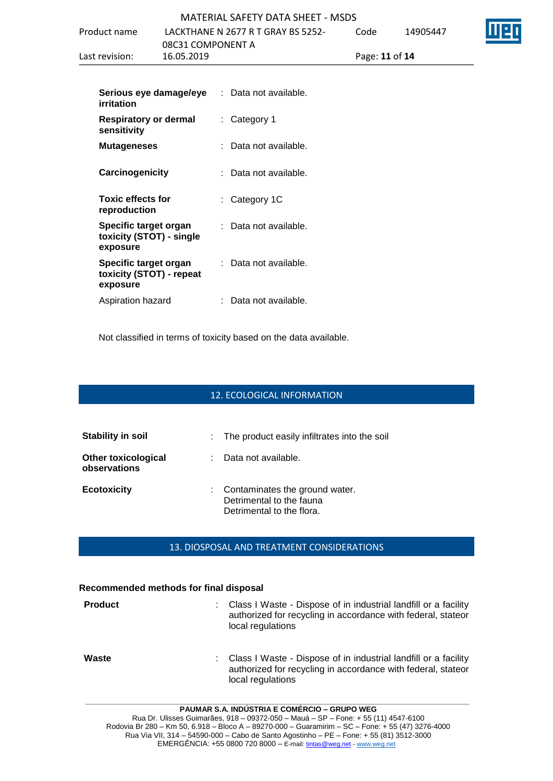| Product name   | LACKTHANE N 2677 R T GRAY BS 5252- | Code           | 14905447 |  |
|----------------|------------------------------------|----------------|----------|--|
|                | 08C31 COMPONENT A                  |                |          |  |
| Last revision: | 16.05.2019                         | Page: 11 of 14 |          |  |

| Serious eye damage/eye<br>irritation                          | : Data not available. |
|---------------------------------------------------------------|-----------------------|
| Respiratory or dermal<br>sensitivity                          | : Category 1          |
| <b>Mutageneses</b>                                            | Data not available.   |
| Carcinogenicity                                               | : Data not available. |
| <b>Toxic effects for</b><br>reproduction                      | : Category 1C         |
| Specific target organ<br>toxicity (STOT) - single<br>exposure | : Data not available. |
| Specific target organ<br>toxicity (STOT) - repeat<br>exposure | : Data not available. |
| Aspiration hazard                                             | Data not available.   |

Not classified in terms of toxicity based on the data available.

# 12. ECOLOGICAL INFORMATION

| Stability in soil                          | : The product easily infiltrates into the soil                                          |
|--------------------------------------------|-----------------------------------------------------------------------------------------|
| <b>Other toxicological</b><br>observations | Data not available.                                                                     |
| <b>Ecotoxicity</b>                         | Contaminates the ground water.<br>Detrimental to the fauna<br>Detrimental to the flora. |

### 13. DIOSPOSAL AND TREATMENT CONSIDERATIONS

#### **Recommended methods for final disposal**

| <b>Product</b> | : Class I Waste - Dispose of in industrial landfill or a facility<br>authorized for recycling in accordance with federal, stateor<br>local regulations |
|----------------|--------------------------------------------------------------------------------------------------------------------------------------------------------|
| Waste          | : Class I Waste - Dispose of in industrial landfill or a facility<br>authorized for recycling in accordance with federal, stateor<br>local regulations |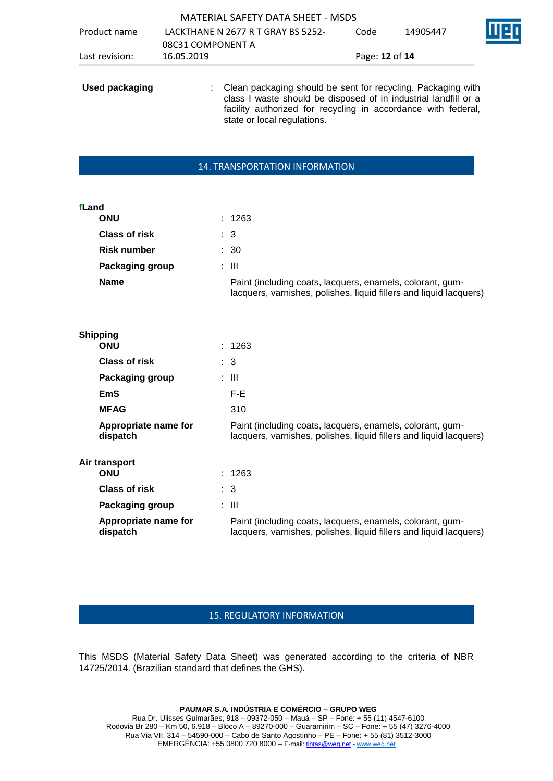| Product name          | MATERIAL SAFETY DATA SHEET - MSDS<br>LACKTHANE N 2677 R T GRAY BS 5252-<br>08C31 COMPONENT A                                                                                                                                    |                                       |  | Code<br>14905447 |  |  |
|-----------------------|---------------------------------------------------------------------------------------------------------------------------------------------------------------------------------------------------------------------------------|---------------------------------------|--|------------------|--|--|
| Last revision:        | 16.05.2019                                                                                                                                                                                                                      |                                       |  | Page: 12 of 14   |  |  |
| <b>Used packaging</b> | Clean packaging should be sent for recycling. Packaging with<br>class I waste should be disposed of in industrial landfill or a<br>facility authorized for recycling in accordance with federal,<br>state or local regulations. |                                       |  |                  |  |  |
|                       |                                                                                                                                                                                                                                 | <b>14. TRANSPORTATION INFORMATION</b> |  |                  |  |  |

| fLand |                                  |                                                                                                                                 |
|-------|----------------------------------|---------------------------------------------------------------------------------------------------------------------------------|
|       | <b>ONU</b>                       | : 1263                                                                                                                          |
|       | <b>Class of risk</b>             | : 3                                                                                                                             |
|       | <b>Risk number</b>               | : 30                                                                                                                            |
|       | Packaging group                  | $\therefore$ $\blacksquare$                                                                                                     |
|       | <b>Name</b>                      | Paint (including coats, lacquers, enamels, colorant, gum-<br>lacquers, varnishes, polishes, liquid fillers and liquid lacquers) |
|       | <b>Shipping</b>                  |                                                                                                                                 |
|       | <b>ONU</b>                       | 1263                                                                                                                            |
|       | <b>Class of risk</b>             | $\therefore$ 3                                                                                                                  |
|       | Packaging group                  | : III                                                                                                                           |
|       | <b>EmS</b>                       | F-E                                                                                                                             |
|       | <b>MFAG</b>                      | 310                                                                                                                             |
|       | Appropriate name for<br>dispatch | Paint (including coats, lacquers, enamels, colorant, gum-<br>lacquers, varnishes, polishes, liquid fillers and liquid lacquers) |
|       | Air transport<br><b>ONU</b>      | : 1263                                                                                                                          |
|       | <b>Class of risk</b>             | $\therefore$ 3                                                                                                                  |
|       | Packaging group                  | : III                                                                                                                           |
|       | Appropriate name for<br>dispatch | Paint (including coats, lacquers, enamels, colorant, gum-<br>lacquers, varnishes, polishes, liquid fillers and liquid lacquers) |

# 15. REGULATORY INFORMATION

This MSDS (Material Safety Data Sheet) was generated according to the criteria of NBR 14725/2014. (Brazilian standard that defines the GHS).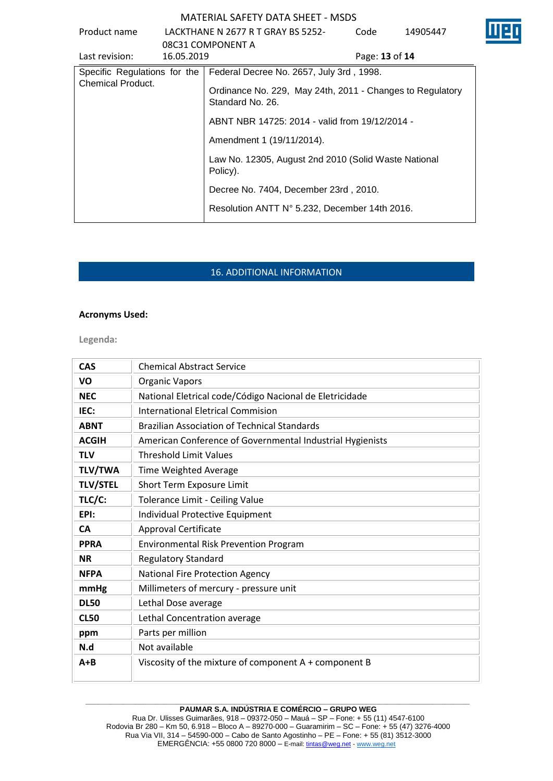| Product name                 |            | LACKTHANE N 2677 R T GRAY BS 5252-                                            | Code           | 14905447 |
|------------------------------|------------|-------------------------------------------------------------------------------|----------------|----------|
|                              |            | 08C31 COMPONENT A                                                             |                |          |
| Last revision:               | 16.05.2019 |                                                                               | Page: 13 of 14 |          |
| Specific Regulations for the |            | Federal Decree No. 2657, July 3rd, 1998.                                      |                |          |
| <b>Chemical Product.</b>     |            | Ordinance No. 229, May 24th, 2011 - Changes to Regulatory<br>Standard No. 26. |                |          |
|                              |            | ABNT NBR 14725: 2014 - valid from 19/12/2014 -                                |                |          |
|                              |            | Amendment 1 (19/11/2014).                                                     |                |          |
|                              |            | Law No. 12305, August 2nd 2010 (Solid Waste National<br>Policy).              |                |          |
|                              |            | Decree No. 7404, December 23rd, 2010.                                         |                |          |
|                              |            | Resolution ANTT N° 5.232, December 14th 2016.                                 |                |          |
|                              |            |                                                                               |                |          |

# 16. ADDITIONAL INFORMATION

#### **Acronyms Used:**

**Legenda:**

| <b>CAS</b>      | <b>Chemical Abstract Service</b>                          |  |  |  |  |  |
|-----------------|-----------------------------------------------------------|--|--|--|--|--|
| VO              | <b>Organic Vapors</b>                                     |  |  |  |  |  |
| <b>NEC</b>      | National Eletrical code/Código Nacional de Eletricidade   |  |  |  |  |  |
| IEC:            | <b>International Eletrical Commision</b>                  |  |  |  |  |  |
| <b>ABNT</b>     | <b>Brazilian Association of Technical Standards</b>       |  |  |  |  |  |
| <b>ACGIH</b>    | American Conference of Governmental Industrial Hygienists |  |  |  |  |  |
| <b>TLV</b>      | <b>Threshold Limit Values</b>                             |  |  |  |  |  |
| <b>TLV/TWA</b>  | <b>Time Weighted Average</b>                              |  |  |  |  |  |
| <b>TLV/STEL</b> | Short Term Exposure Limit                                 |  |  |  |  |  |
| TLC/C:          | Tolerance Limit - Ceiling Value                           |  |  |  |  |  |
| EPI:            | Individual Protective Equipment                           |  |  |  |  |  |
| СA              | <b>Approval Certificate</b>                               |  |  |  |  |  |
| <b>PPRA</b>     | <b>Environmental Risk Prevention Program</b>              |  |  |  |  |  |
| <b>NR</b>       | <b>Regulatory Standard</b>                                |  |  |  |  |  |
| <b>NFPA</b>     | <b>National Fire Protection Agency</b>                    |  |  |  |  |  |
| mmHg            | Millimeters of mercury - pressure unit                    |  |  |  |  |  |
| <b>DL50</b>     | Lethal Dose average                                       |  |  |  |  |  |
| <b>CL50</b>     | Lethal Concentration average                              |  |  |  |  |  |
| ppm             | Parts per million                                         |  |  |  |  |  |
| N.d             | Not available                                             |  |  |  |  |  |
| $A + B$         | Viscosity of the mixture of component A + component B     |  |  |  |  |  |